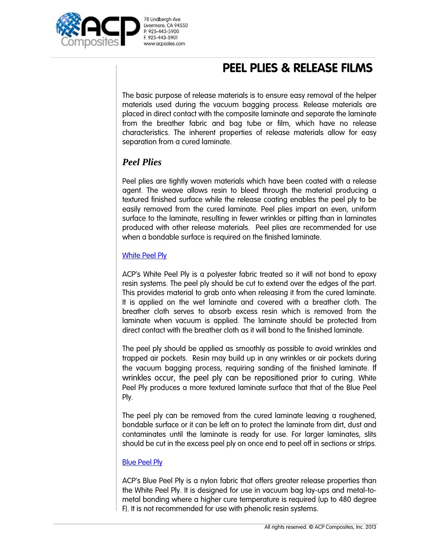

The basic purpose of release materials is to ensure easy removal of the helper materials used during the vacuum bagging process. Release materials are placed in direct contact with the composite laminate and separate the laminate from the breather fabric and bag tube or film, which have no release characteristics. The inherent properties of release materials allow for easy separation from a cured laminate.

## *Peel Plies*

Peel plies are tightly woven materials which have been coated with a release agent. The weave allows resin to bleed through the material producing a textured finished surface while the release coating enables the peel ply to be easily removed from the cured laminate. Peel plies impart an even, uniform surface to the laminate, resulting in fewer wrinkles or pitting than in laminates produced with other release materials. Peel plies are recommended for use when a bondable surface is required on the finished laminate.

## White Peel Ply

ACP's White Peel Ply is a polyester fabric treated so it will not bond to epoxy resin systems. The peel ply should be cut to extend over the edges of the part. This provides material to grab onto when releasing it from the cured laminate. It is applied on the wet laminate and covered with a breather cloth. The breather cloth serves to absorb excess resin which is removed from the laminate when vacuum is applied. The laminate should be protected from direct contact with the breather cloth as it will bond to the finished laminate.

The peel ply should be applied as smoothly as possible to avoid wrinkles and trapped air pockets. Resin may build up in any wrinkles or air pockets during the vacuum bagging process, requiring sanding of the finished laminate. If wrinkles occur, the peel ply can be repositioned prior to curing. White Peel Ply produces a more textured laminate surface that that of the Blue Peel Ply.

The peel ply can be removed from the cured laminate leaving a roughened, bondable surface or it can be left on to protect the laminate from dirt, dust and contaminates until the laminate is ready for use. For larger laminates, slits should be cut in the excess peel ply on once end to peel off in sections or strips.

#### Blue Peel Ply

ACP's Blue Peel Ply is a nylon fabric that offers greater release properties than the White Peel Ply. It is designed for use in vacuum bag lay-ups and metal-tometal bonding where a higher cure temperature is required (up to 480 degree F). It is not recommended for use with phenolic resin systems.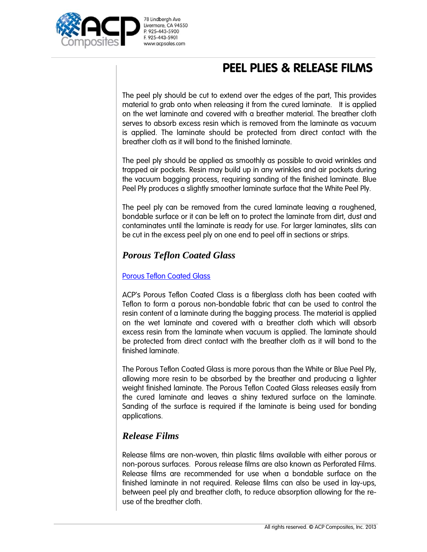

The peel ply should be cut to extend over the edges of the part, This provides material to grab onto when releasing it from the cured laminate. It is applied on the wet laminate and covered with a breather material. The breather cloth serves to absorb excess resin which is removed from the laminate as vacuum is applied. The laminate should be protected from direct contact with the breather cloth as it will bond to the finished laminate.

The peel ply should be applied as smoothly as possible to avoid wrinkles and trapped air pockets. Resin may build up in any wrinkles and air pockets during the vacuum bagging process, requiring sanding of the finished laminate. Blue Peel Ply produces a slightly smoother laminate surface that the White Peel Ply.

The peel ply can be removed from the cured laminate leaving a roughened, bondable surface or it can be left on to protect the laminate from dirt, dust and contaminates until the laminate is ready for use. For larger laminates, slits can be cut in the excess peel ply on one end to peel off in sections or strips.

## *Porous Teflon Coated Glass*

## Porous Teflon Coated Glass

ACP's Porous Teflon Coated Class is a fiberglass cloth has been coated with Teflon to form a porous non-bondable fabric that can be used to control the resin content of a laminate during the bagging process. The material is applied on the wet laminate and covered with a breather cloth which will absorb excess resin from the laminate when vacuum is applied. The laminate should be protected from direct contact with the breather cloth as it will bond to the finished laminate.

The Porous Teflon Coated Glass is more porous than the White or Blue Peel Ply, allowing more resin to be absorbed by the breather and producing a lighter weight finished laminate. The Porous Teflon Coated Glass releases easily from the cured laminate and leaves a shiny textured surface on the laminate. Sanding of the surface is required if the laminate is being used for bonding applications.

## *Release Films*

Release films are non-woven, thin plastic films available with either porous or non-porous surfaces. Porous release films are also known as Perforated Films. Release films are recommended for use when a bondable surface on the finished laminate in not required. Release films can also be used in lay-ups, between peel ply and breather cloth, to reduce absorption allowing for the reuse of the breather cloth.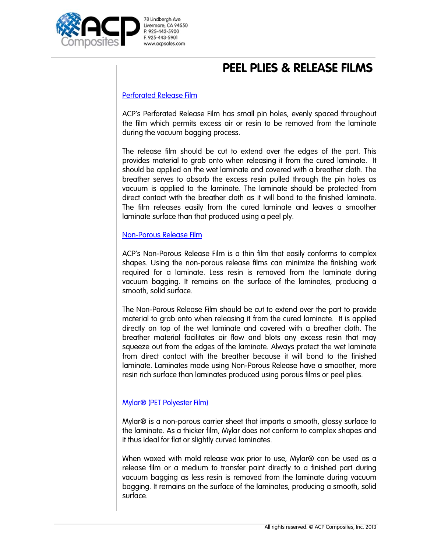

### Perforated Release Film

ACP's Perforated Release Film has small pin holes, evenly spaced throughout the film which permits excess air or resin to be removed from the laminate during the vacuum bagging process.

The release film should be cut to extend over the edges of the part. This provides material to grab onto when releasing it from the cured laminate. It should be applied on the wet laminate and covered with a breather cloth. The breather serves to absorb the excess resin pulled through the pin holes as vacuum is applied to the laminate. The laminate should be protected from direct contact with the breather cloth as it will bond to the finished laminate. The film releases easily from the cured laminate and leaves a smoother laminate surface than that produced using a peel ply.

#### Non-Porous Release Film

ACP's Non-Porous Release Film is a thin film that easily conforms to complex shapes. Using the non-porous release films can minimize the finishing work required for a laminate. Less resin is removed from the laminate during vacuum bagging. It remains on the surface of the laminates, producing a smooth, solid surface.

The Non-Porous Release Film should be cut to extend over the part to provide material to grab onto when releasing it from the cured laminate. It is applied directly on top of the wet laminate and covered with a breather cloth. The breather material facilitates air flow and blots any excess resin that may squeeze out from the edges of the laminate. Always protect the wet laminate from direct contact with the breather because it will bond to the finished laminate. Laminates made using Non-Porous Release have a smoother, more resin rich surface than laminates produced using porous films or peel plies.

#### Mylar® (PET Polyester Film)

Mylar® is a non-porous carrier sheet that imparts a smooth, glossy surface to the laminate. As a thicker film, Mylar does not conform to complex shapes and it thus ideal for flat or slightly curved laminates.

When waxed with mold release wax prior to use, Mylar® can be used as a release film or a medium to transfer paint directly to a finished part during vacuum bagging as less resin is removed from the laminate during vacuum bagging. It remains on the surface of the laminates, producing a smooth, solid surface.